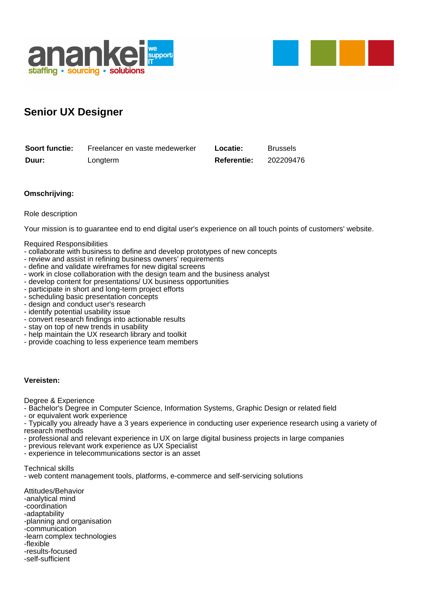



# **Senior UX Designer**

| <b>Soort functie:</b> | Freelancer en vaste medewerker | Locatie:           | <b>Brussels</b> |
|-----------------------|--------------------------------|--------------------|-----------------|
| Duur:                 | Longterm                       | <b>Referentie:</b> | 202209476       |

## **Omschrijving:**

### Role description

Your mission is to guarantee end to end digital user's experience on all touch points of customers' website.

#### Required Responsibilities

- collaborate with business to define and develop prototypes of new concepts
- review and assist in refining business owners' requirements
- define and validate wireframes for new digital screens
- work in close collaboration with the design team and the business analyst
- develop content for presentations/ UX business opportunities
- participate in short and long-term project efforts
- scheduling basic presentation concepts
- design and conduct user's research
- identify potential usability issue
- convert research findings into actionable results
- stay on top of new trends in usability
- help maintain the UX research library and toolkit
- provide coaching to less experience team members

### **Vereisten:**

Degree & Experience

- Bachelor's Degree in Computer Science, Information Systems, Graphic Design or related field

- or equivalent work experience
- Typically you already have a 3 years experience in conducting user experience research using a variety of research methods
- professional and relevant experience in UX on large digital business projects in large companies
- previous relevant work experience as UX Specialist
- experience in telecommunications sector is an asset

Technical skills

- web content management tools, platforms, e-commerce and self-servicing solutions

Attitudes/Behavior -analytical mind -coordination -adaptability -planning and organisation -communication -learn complex technologies -flexible -results-focused

-self-sufficient